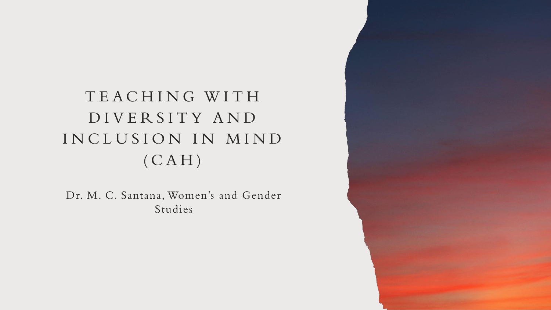# T E A C H I N G W I T H D I V E R S I T Y A N D INCLUSION IN MIND  $(CAH)$

Dr. M. C. Santana, Women's and Gender Studies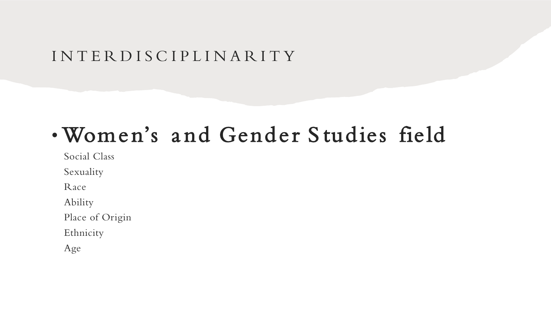## I N T E R D I S C I P L I N A R I T Y

# • Women's a nd Gender S tudies field

Social Class

Sexuality

Race

Ability

Place of Origin

Ethnicity

Age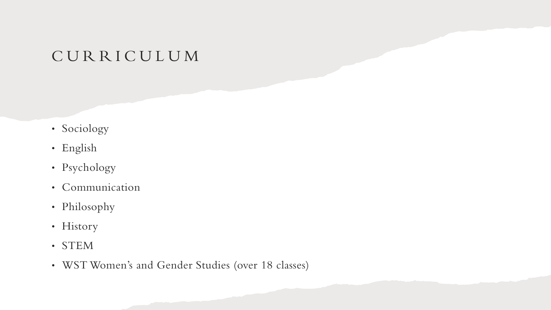## C U R R I C U L U M

- Sociology
- English
- Psychology
- Communication
- Philosophy
- History
- STEM
- WST Women's and Gender Studies (over 18 classes)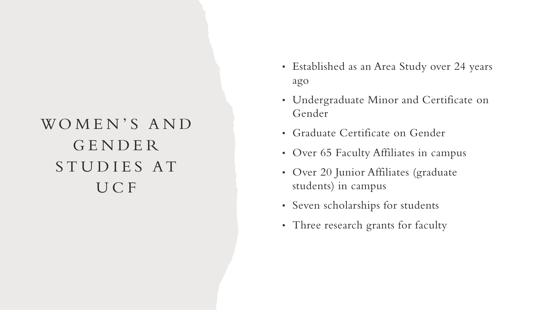# WOMEN'S AND G E N D E R STUDIES AT U C F

- Established as an Area Study over 24 years ago
- Undergraduate Minor and Certificate on Gender
- Graduate Certificate on Gender
- Over 65 Faculty Affiliates in campus
- Over 20 Junior Affiliates (graduate students) in campus
- Seven scholarships for students
- Three research grants for faculty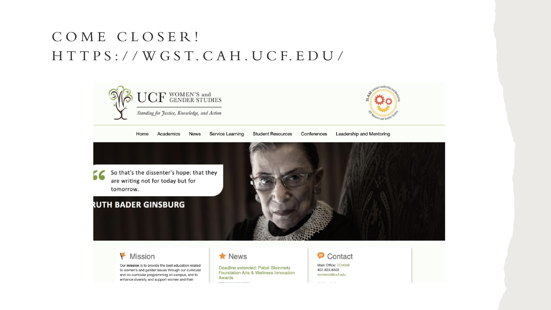## C O M E C L O S E R ! H T T P S : / / W G S T. C A H . U C F. E D U /



#### Mission

Our mission is to provide the best education related to women's and gender issues through our curricular and co-curricular programming on campus, and to enhance diversity and support women and their

 $\bigstar$  News

Deadline extended: Pabst Steinmetz **Foundation Arts & Wellness Innovation Awards** 

Contact Main Office: TCH348 407-823-6502 womenst@ucf.edu

STAR STOP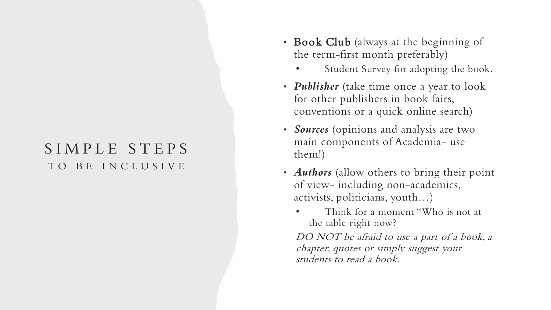### SIMPLE STEPS TO BE INCLUSIVE

- Book Club (always at the beginning of the term-first month preferably)
	- Student Survey for adopting the book.
- *Publisher* (take time once a year to look for other publishers in book fairs, conventions or a quick online search)
- *Sources* (opinions and analysis are two main components of Academia- use them!)
- *Authors* (allow others to bring their point of view- including non-academics, activists, politicians, youth…)
	- Think for a moment "Who is not at the table right now?

DO NOT be afraid to use a part of a book, a chapter, quotes or simply suggest your students to read a book.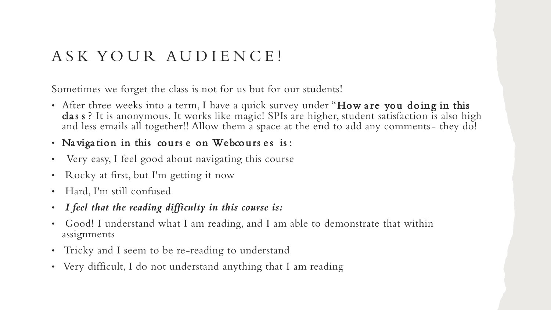## A S K YO U R A U D I E N C E !

Sometimes we forget the class is not for us but for our students!

- After three weeks into a term, I have a quick survey under "How are you doing in this cla s s ? It is anonymous. It works like magic! SPIs are higher, student satisfaction is also high and less emails all together!! Allow them a space at the end to add any comments- they do!
- Na vigation in this cours e on Webcours es is:
- Very easy, I feel good about navigating this course
- Rocky at first, but I'm getting it now
- Hard, I'm still confused
- *I feel that the reading difficulty in this course is:*
- Good! I understand what I am reading, and I am able to demonstrate that within assignments
- Tricky and I seem to be re-reading to understand
- Very difficult, I do not understand anything that I am reading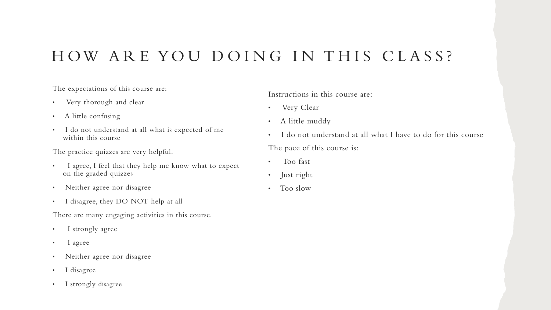## HOW ARE YOU DOING IN THIS CLASS?

The expectations of this course are:

- Very thorough and clear
- A little confusing
- I do not understand at all what is expected of me within this course

The practice quizzes are very helpful.

- I agree, I feel that they help me know what to expect on the graded quizzes
- Neither agree nor disagree
- I disagree, they DO NOT help at all

There are many engaging activities in this course.

- I strongly agree
- I agree
- Neither agree nor disagree
- I disagree
- I strongly disagree

Instructions in this course are:

- Very Clear
- A little muddy
- I do not understand at all what I have to do for this course The pace of this course is:
- Too fast
- Just right
- Too slow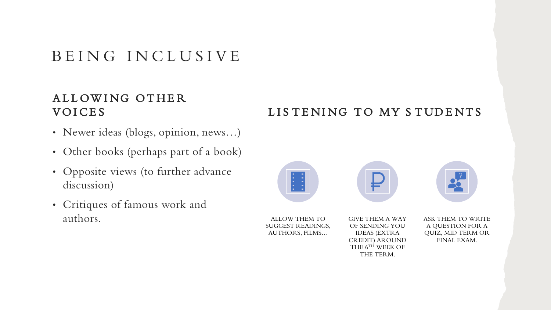## BEING INCLUSIVE

### ALLOWING OTHER **VOICES**

- Newer ideas (blogs, opinion, news…)
- Other books (perhaps part of a book)
- Opposite views (to further advance discussion)
- Critiques of famous work and authors.

### LISTENING TO MY STUDENTS

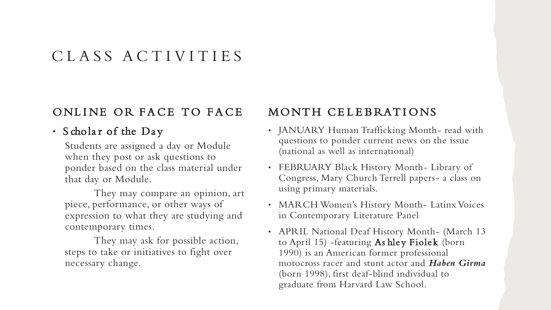## C L A S S A C T I V I T I E S

### ONLINE OR FACE TO FACE

#### • Scholar of the Day

Students are assigned a day or Module when they post or ask questions to ponder based on the class material under that day or Module.

They may compare an opinion, art piece, performance, or other ways of expression to what they are studying and contemporary times.

They may ask for possible action, steps to take or initiatives to fight over necessary change.

### MONTH CELEBRATIONS

- JANUARY Human Trafficking Month- read with questions to ponder current news on the issue (national as well as international)
- FEBRUARY Black History Month- Library of Congress, Mary Church Terrell papers- a class on using primary materials.
- MARCH Women's History Month- Latinx Voices in Contemporary Literature Panel
- APRIL National Deaf History Month- (March 13 to April 15) -featuring As hley Fiolek (born 1990) is an American former professional motocross racer and stunt actor and *Haben Girma* (born 1998), first deaf-blind individual to graduate from Harvard Law School.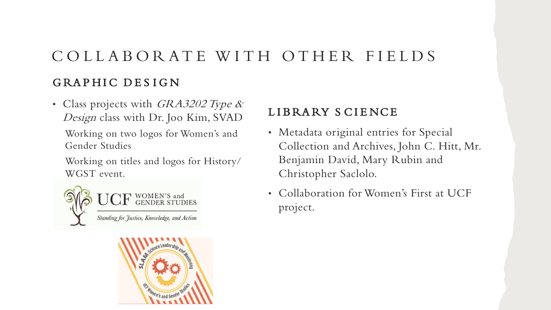# GRAPHIC DESIGN C O L L A B O R AT E W I T H O T H E R F I E L D S

• Class projects with GRA3202 Type & Design class with Dr. Joo Kim, SVAD

Working on two logos for Women's and Gender Studies

Working on titles and logos for History/ WGST event.





### LIBRARY SCIENCE

- Metadata original entries for Special Collection and Archives, John C. Hitt, Mr. Benjamin David, Mary Rubin and Christopher Saclolo.
- Collaboration for Women's First at UCF project.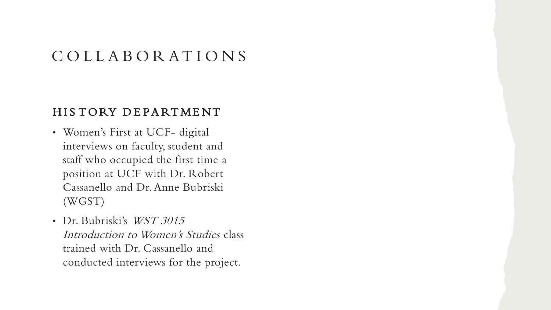## C O L L A B O R AT I O N S

#### HIS TORY DEPARTMENT

- Women's First at UCF- digital interviews on faculty, student and staff who occupied the first time a position at UCF with Dr. Robert Cassanello and Dr. Anne Bubriski (WGST)
- Dr. Bubriski's WST 3015 Introduction to Women's Studies class trained with Dr. Cassanello and conducted interviews for the project.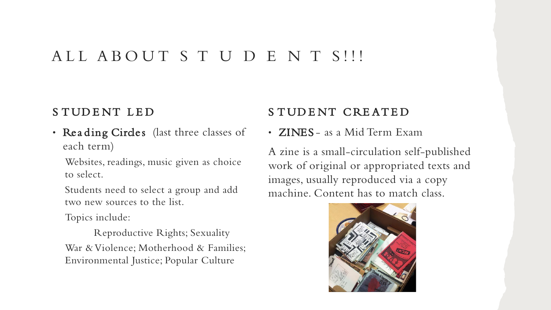### ALL ABOUT S T U D E N T S!!!

### STUDENT LED

• Reading Circles (last three classes of each term)

Websites, readings, music given as choice to select.

Students need to select a group and add two new sources to the list.

Topics include:

Reproductive Rights; Sexuality War & Violence; Motherhood & Families; Environmental Justice; Popular Culture

### S TUDENT CREATED

• ZINES - as a Mid Term Exam

A zine is a small-circulation self-published work of original or appropriated texts and images, usually reproduced via a copy machine. Content has to match class.

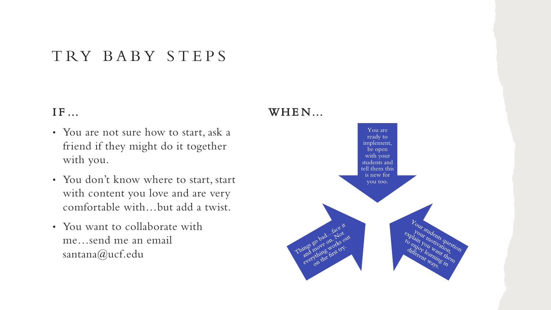## T RY B A B Y S T E P S

### IF ...

- You are not sure how to start, ask a friend if they might do it together with you.
- You don't know where to start, start with content you love and are very comfortable with…but add a twist.
- You want to collaborate with me…send me an email santana@ucf.edu

### $WHEN...$